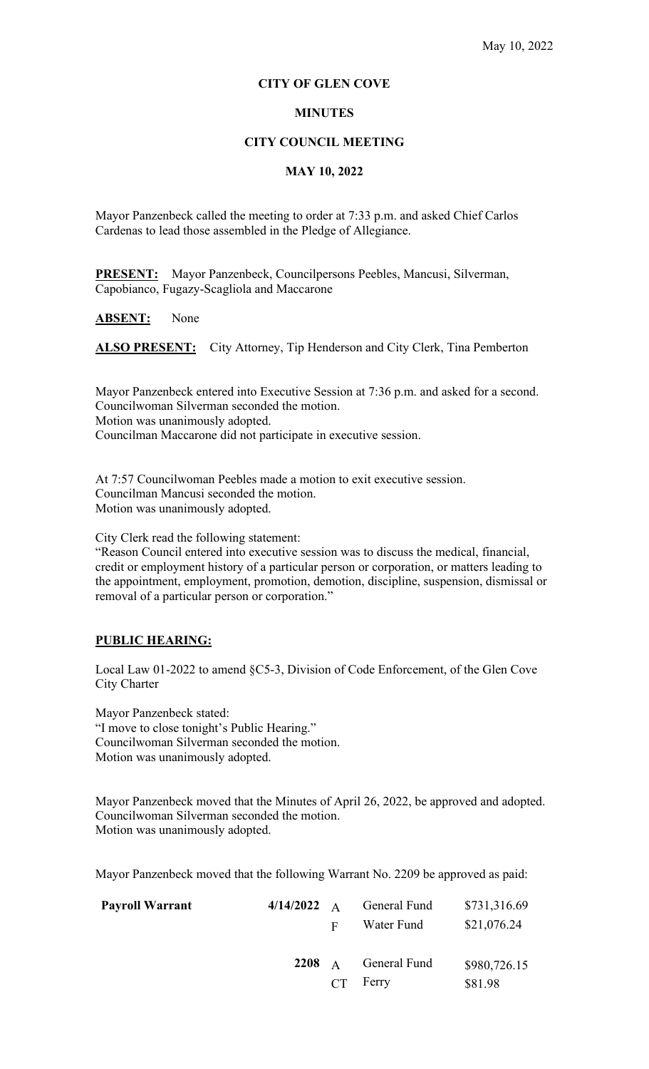#### **CITY OF GLEN COVE**

### **MINUTES**

#### **CITY COUNCIL MEETING**

# **MAY 10, 2022**

Mayor Panzenbeck called the meeting to order at 7:33 p.m. and asked Chief Carlos Cardenas to lead those assembled in the Pledge of Allegiance.

**PRESENT:** Mayor Panzenbeck, Councilpersons Peebles, Mancusi, Silverman, Capobianco, Fugazy-Scagliola and Maccarone

**ABSENT:** None

ALSO PRESENT: City Attorney, Tip Henderson and City Clerk, Tina Pemberton

Mayor Panzenbeck entered into Executive Session at 7:36 p.m. and asked for a second. Councilwoman Silverman seconded the motion. Motion was unanimously adopted. Councilman Maccarone did not participate in executive session.

At 7:57 Councilwoman Peebles made a motion to exit executive session. Councilman Mancusi seconded the motion. Motion was unanimously adopted.

City Clerk read the following statement:

"Reason Council entered into executive session was to discuss the medical, financial, credit or employment history of a particular person or corporation, or matters leading to the appointment, employment, promotion, demotion, discipline, suspension, dismissal or removal of a particular person or corporation."

#### **PUBLIC HEARING:**

Local Law 01-2022 to amend §C5-3, Division of Code Enforcement, of the Glen Cove City Charter

Mayor Panzenbeck stated: "I move to close tonight's Public Hearing." Councilwoman Silverman seconded the motion. Motion was unanimously adopted.

Mayor Panzenbeck moved that the Minutes of April 26, 2022, be approved and adopted. Councilwoman Silverman seconded the motion. Motion was unanimously adopted.

Mayor Panzenbeck moved that the following Warrant No. 2209 be approved as paid:

| <b>Payroll Warrant</b> | $4/14/2022 \quad A$ |              | General Fund | \$731,316.69 |
|------------------------|---------------------|--------------|--------------|--------------|
|                        |                     | $\mathbf{F}$ | Water Fund   | \$21,076.24  |
|                        | 2208 $\AA$          |              | General Fund | \$980,726.15 |
|                        |                     | CT           | Ferry        | \$81.98      |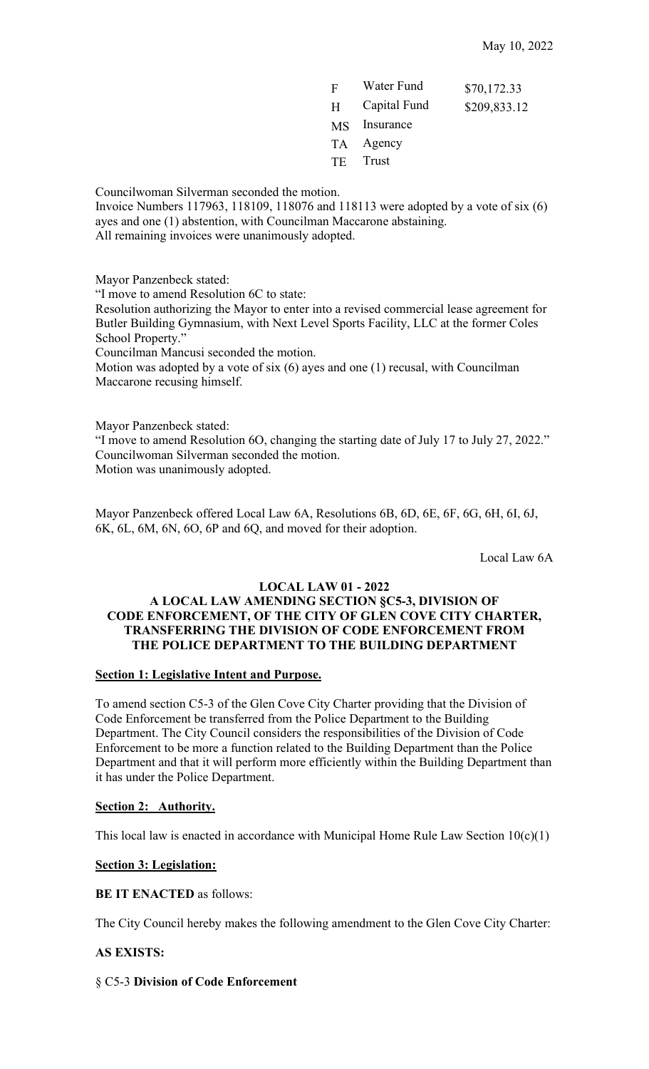| F         | Water Fund   | \$70,172.33  |
|-----------|--------------|--------------|
| H         | Capital Fund | \$209,833.12 |
| <b>MS</b> | Insurance    |              |
| TA –      | Agency       |              |
| TE        | Trust        |              |
|           |              |              |

Councilwoman Silverman seconded the motion.

Invoice Numbers 117963, 118109, 118076 and 118113 were adopted by a vote of six (6) ayes and one (1) abstention, with Councilman Maccarone abstaining.

All remaining invoices were unanimously adopted.

Mayor Panzenbeck stated:

"I move to amend Resolution 6C to state:

Resolution authorizing the Mayor to enter into a revised commercial lease agreement for Butler Building Gymnasium, with Next Level Sports Facility, LLC at the former Coles School Property."

Councilman Mancusi seconded the motion.

Motion was adopted by a vote of six (6) ayes and one (1) recusal, with Councilman Maccarone recusing himself.

Mayor Panzenbeck stated:

"I move to amend Resolution 6O, changing the starting date of July 17 to July 27, 2022." Councilwoman Silverman seconded the motion. Motion was unanimously adopted.

Mayor Panzenbeck offered Local Law 6A, Resolutions 6B, 6D, 6E, 6F, 6G, 6H, 6I, 6J, 6K, 6L, 6M, 6N, 6O, 6P and 6Q, and moved for their adoption.

Local Law 6A

# **LOCAL LAW 01 - 2022**

# **A LOCAL LAW AMENDING SECTION §C5-3, DIVISION OF CODE ENFORCEMENT, OF THE CITY OF GLEN COVE CITY CHARTER, TRANSFERRING THE DIVISION OF CODE ENFORCEMENT FROM THE POLICE DEPARTMENT TO THE BUILDING DEPARTMENT**

# **Section 1: Legislative Intent and Purpose.**

To amend section C5-3 of the Glen Cove City Charter providing that the Division of Code Enforcement be transferred from the Police Department to the Building Department. The City Council considers the responsibilities of the Division of Code Enforcement to be more a function related to the Building Department than the Police Department and that it will perform more efficiently within the Building Department than it has under the Police Department.

# **Section 2: Authority.**

This local law is enacted in accordance with Municipal Home Rule Law Section  $10(c)(1)$ 

# **Section 3: Legislation:**

**BE IT ENACTED** as follows:

The City Council hereby makes the following amendment to the Glen Cove City Charter:

# **AS EXISTS:**

# § C5-3 **Division of Code Enforcement**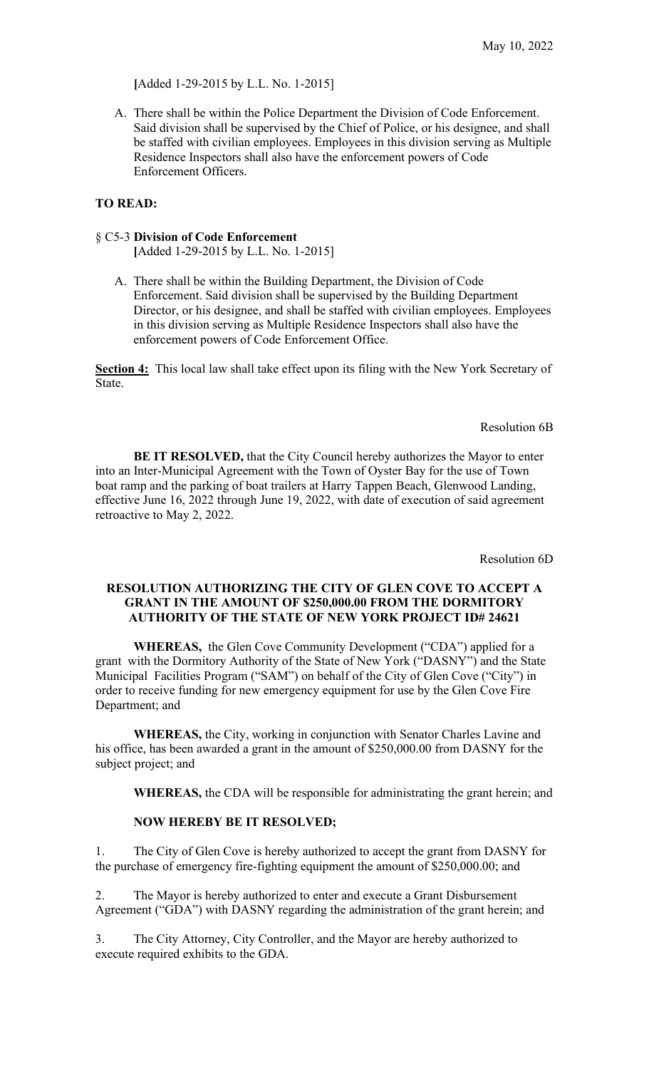**[**Added 1-29-2015 by L.L. No. 1-2015]

A. There shall be within the Police Department the Division of Code Enforcement. Said division shall be supervised by the Chief of Police, or his designee, and shall be staffed with civilian employees. Employees in this division serving as Multiple Residence Inspectors shall also have the enforcement powers of Code Enforcement Officers.

# **TO READ:**

## § C5-3 **Division of Code Enforcement**

 **[**Added 1-29-2015 by L.L. No. 1-2015]

A. There shall be within the Building Department, the Division of Code Enforcement. Said division shall be supervised by the Building Department Director, or his designee, and shall be staffed with civilian employees. Employees in this division serving as Multiple Residence Inspectors shall also have the enforcement powers of Code Enforcement Office.

**Section 4:** This local law shall take effect upon its filing with the New York Secretary of State.

Resolution 6B

**BE IT RESOLVED,** that the City Council hereby authorizes the Mayor to enter into an Inter-Municipal Agreement with the Town of Oyster Bay for the use of Town boat ramp and the parking of boat trailers at Harry Tappen Beach, Glenwood Landing, effective June 16, 2022 through June 19, 2022, with date of execution of said agreement retroactive to May 2, 2022.

Resolution 6D

## **RESOLUTION AUTHORIZING THE CITY OF GLEN COVE TO ACCEPT A GRANT IN THE AMOUNT OF \$250,000.00 FROM THE DORMITORY AUTHORITY OF THE STATE OF NEW YORK PROJECT ID# 24621**

**WHEREAS,** the Glen Cove Community Development ("CDA") applied for a grant with the Dormitory Authority of the State of New York ("DASNY") and the State Municipal Facilities Program ("SAM") on behalf of the City of Glen Cove ("City") in order to receive funding for new emergency equipment for use by the Glen Cove Fire Department; and

**WHEREAS,** the City, working in conjunction with Senator Charles Lavine and his office, has been awarded a grant in the amount of \$250,000.00 from DASNY for the subject project; and

**WHEREAS,** the CDA will be responsible for administrating the grant herein; and

#### **NOW HEREBY BE IT RESOLVED;**

1. The City of Glen Cove is hereby authorized to accept the grant from DASNY for the purchase of emergency fire-fighting equipment the amount of \$250,000.00; and

2. The Mayor is hereby authorized to enter and execute a Grant Disbursement Agreement ("GDA") with DASNY regarding the administration of the grant herein; and

3. The City Attorney, City Controller, and the Mayor are hereby authorized to execute required exhibits to the GDA.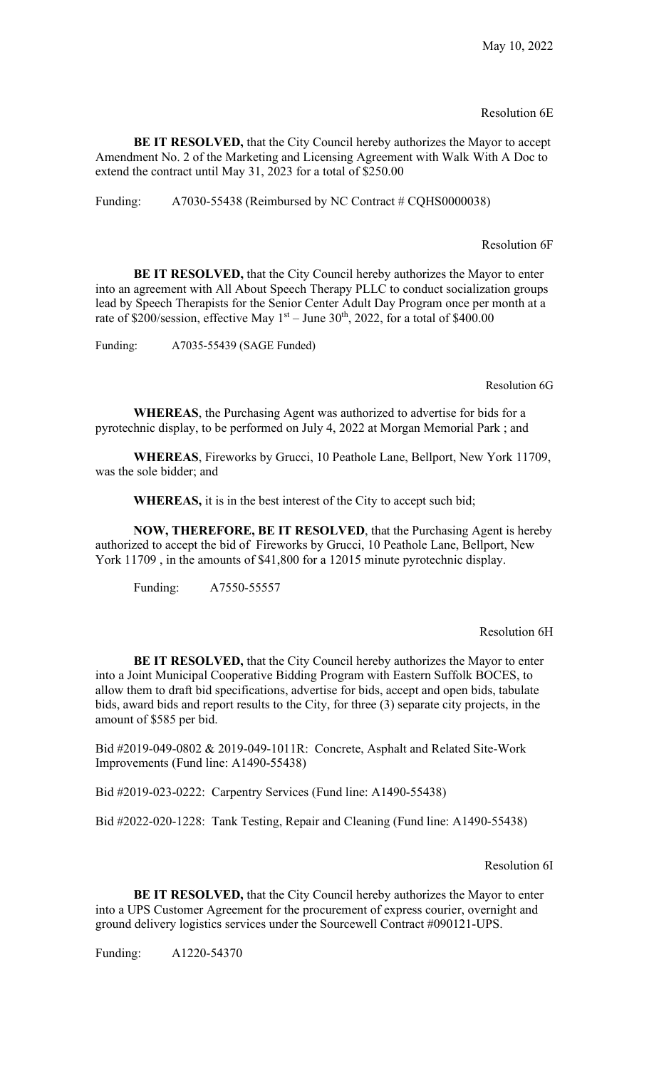Resolution 6E

**BE IT RESOLVED,** that the City Council hereby authorizes the Mayor to accept Amendment No. 2 of the Marketing and Licensing Agreement with Walk With A Doc to extend the contract until May 31, 2023 for a total of \$250.00

Funding: A7030-55438 (Reimbursed by NC Contract # CQHS0000038)

Resolution 6F

**BE IT RESOLVED,** that the City Council hereby authorizes the Mayor to enter into an agreement with All About Speech Therapy PLLC to conduct socialization groups lead by Speech Therapists for the Senior Center Adult Day Program once per month at a rate of \$200/session, effective May  $1<sup>st</sup> - June 30<sup>th</sup>$ , 2022, for a total of \$400.00

Funding: A7035-55439 (SAGE Funded)

Resolution 6G

**WHEREAS**, the Purchasing Agent was authorized to advertise for bids for a pyrotechnic display, to be performed on July 4, 2022 at Morgan Memorial Park ; and

**WHEREAS**, Fireworks by Grucci, 10 Peathole Lane, Bellport, New York 11709, was the sole bidder; and

**WHEREAS,** it is in the best interest of the City to accept such bid;

**NOW, THEREFORE, BE IT RESOLVED**, that the Purchasing Agent is hereby authorized to accept the bid of Fireworks by Grucci, 10 Peathole Lane, Bellport, New York 11709 , in the amounts of \$41,800 for a 12015 minute pyrotechnic display.

Funding: A7550-55557

Resolution 6H

**BE IT RESOLVED,** that the City Council hereby authorizes the Mayor to enter into a Joint Municipal Cooperative Bidding Program with Eastern Suffolk BOCES, to allow them to draft bid specifications, advertise for bids, accept and open bids, tabulate bids, award bids and report results to the City, for three (3) separate city projects, in the amount of \$585 per bid.

Bid #2019-049-0802 & 2019-049-1011R: Concrete, Asphalt and Related Site-Work Improvements (Fund line: A1490-55438)

Bid #2019-023-0222: Carpentry Services (Fund line: A1490-55438)

Bid #2022-020-1228: Tank Testing, Repair and Cleaning (Fund line: A1490-55438)

Resolution 6I

**BE IT RESOLVED,** that the City Council hereby authorizes the Mayor to enter into a UPS Customer Agreement for the procurement of express courier, overnight and ground delivery logistics services under the Sourcewell Contract #090121-UPS.

Funding: A1220-54370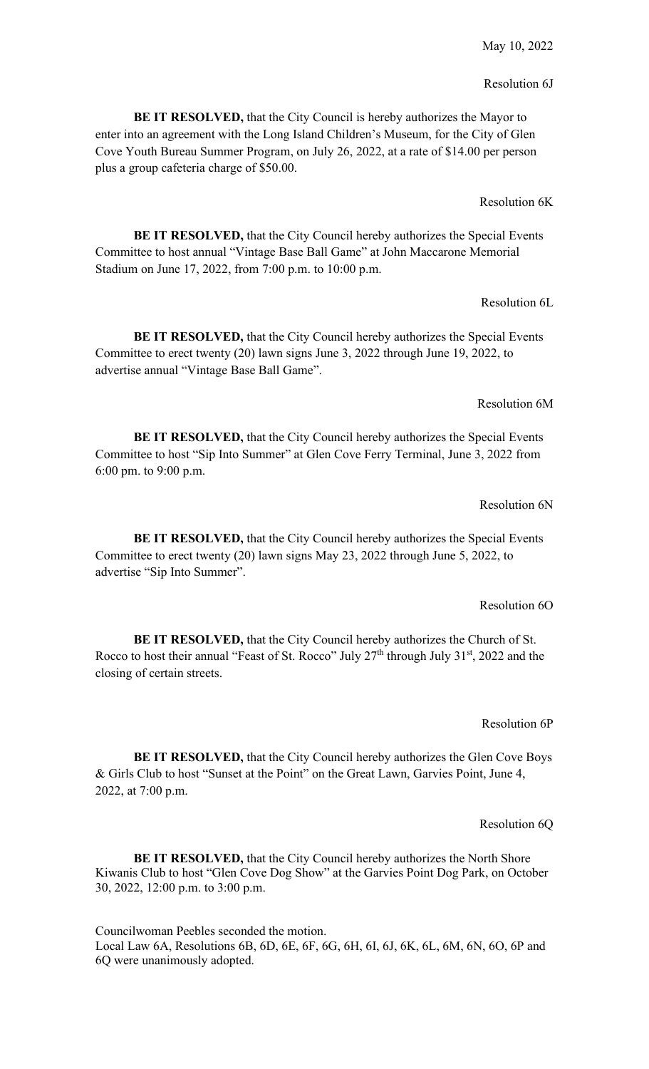# Resolution 6J

**BE IT RESOLVED,** that the City Council is hereby authorizes the Mayor to enter into an agreement with the Long Island Children's Museum, for the City of Glen Cove Youth Bureau Summer Program, on July 26, 2022, at a rate of \$14.00 per person plus a group cafeteria charge of \$50.00.

## Resolution 6K

**BE IT RESOLVED, that the City Council hereby authorizes the Special Events** Committee to host annual "Vintage Base Ball Game" at John Maccarone Memorial Stadium on June 17, 2022, from 7:00 p.m. to 10:00 p.m.

#### Resolution 6L

**BE IT RESOLVED,** that the City Council hereby authorizes the Special Events Committee to erect twenty (20) lawn signs June 3, 2022 through June 19, 2022, to advertise annual "Vintage Base Ball Game".

## Resolution 6M

**BE IT RESOLVED,** that the City Council hereby authorizes the Special Events Committee to host "Sip Into Summer" at Glen Cove Ferry Terminal, June 3, 2022 from 6:00 pm. to 9:00 p.m.

#### Resolution 6N

**BE IT RESOLVED,** that the City Council hereby authorizes the Special Events Committee to erect twenty (20) lawn signs May 23, 2022 through June 5, 2022, to advertise "Sip Into Summer".

#### Resolution 6O

**BE IT RESOLVED,** that the City Council hereby authorizes the Church of St. Rocco to host their annual "Feast of St. Rocco" July 27<sup>th</sup> through July 31<sup>st</sup>, 2022 and the closing of certain streets.

#### Resolution 6P

**BE IT RESOLVED,** that the City Council hereby authorizes the Glen Cove Boys & Girls Club to host "Sunset at the Point" on the Great Lawn, Garvies Point, June 4, 2022, at 7:00 p.m.

#### Resolution 6Q

**BE IT RESOLVED,** that the City Council hereby authorizes the North Shore Kiwanis Club to host "Glen Cove Dog Show" at the Garvies Point Dog Park, on October 30, 2022, 12:00 p.m. to 3:00 p.m.

Councilwoman Peebles seconded the motion. Local Law 6A, Resolutions 6B, 6D, 6E, 6F, 6G, 6H, 6I, 6J, 6K, 6L, 6M, 6N, 6O, 6P and 6Q were unanimously adopted.